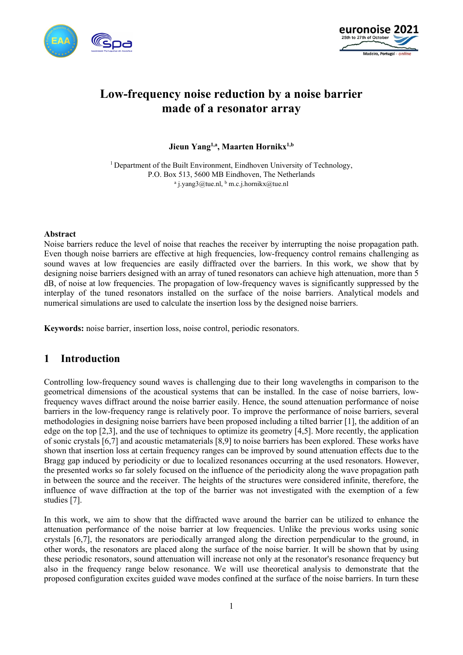



# **Low-frequency noise reduction by a noise barrier made of a resonator array**

Jieun Yang<sup>1,a</sup>, Maarten Hornikx<sup>1,b</sup>

<sup>1</sup> Department of the Built Environment, Eindhoven University of Technology, P.O. Box 513, 5600 MB Eindhoven, The Netherlands <sup>a</sup> j.yang3@tue.nl, <sup>b</sup> m.c.j.hornikx@tue.nl

#### **Abstract**

Noise barriers reduce the level of noise that reaches the receiver by interrupting the noise propagation path. Even though noise barriers are effective at high frequencies, low-frequency control remains challenging as sound waves at low frequencies are easily diffracted over the barriers. In this work, we show that by designing noise barriers designed with an array of tuned resonators can achieve high attenuation, more than 5 dB, of noise at low frequencies. The propagation of low-frequency waves is significantly suppressed by the interplay of the tuned resonators installed on the surface of the noise barriers. Analytical models and numerical simulations are used to calculate the insertion loss by the designed noise barriers.

**Keywords:** noise barrier, insertion loss, noise control, periodic resonators.

## **1 Introduction**

Controlling low-frequency sound waves is challenging due to their long wavelengths in comparison to the geometrical dimensions of the acoustical systems that can be installed. In the case of noise barriers, lowfrequency waves diffract around the noise barrier easily. Hence, the sound attenuation performance of noise barriers in the low-frequency range is relatively poor. To improve the performance of noise barriers, several methodologies in designing noise barriers have been proposed including a tilted barrier [1], the addition of an edge on the top [2,3], and the use of techniques to optimize its geometry [4,5]. More recently, the application of sonic crystals [6,7] and acoustic metamaterials [8,9] to noise barriers has been explored. These works have shown that insertion loss at certain frequency ranges can be improved by sound attenuation effects due to the Bragg gap induced by periodicity or due to localized resonances occurring at the used resonators. However, the presented works so far solely focused on the influence of the periodicity along the wave propagation path in between the source and the receiver. The heights of the structures were considered infinite, therefore, the influence of wave diffraction at the top of the barrier was not investigated with the exemption of a few studies [7].

In this work, we aim to show that the diffracted wave around the barrier can be utilized to enhance the attenuation performance of the noise barrier at low frequencies. Unlike the previous works using sonic crystals [6,7], the resonators are periodically arranged along the direction perpendicular to the ground, in other words, the resonators are placed along the surface of the noise barrier. It will be shown that by using these periodic resonators, sound attenuation will increase not only at the resonator's resonance frequency but also in the frequency range below resonance. We will use theoretical analysis to demonstrate that the proposed configuration excites guided wave modes confined at the surface of the noise barriers. In turn these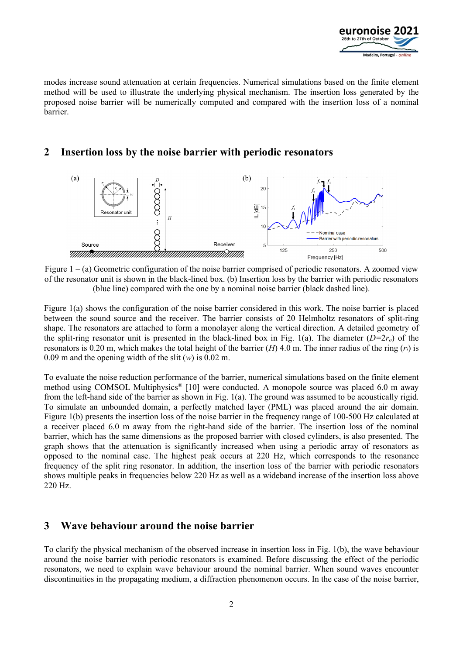

modes increase sound attenuation at certain frequencies. Numerical simulations based on the finite element method will be used to illustrate the underlying physical mechanism. The insertion loss generated by the proposed noise barrier will be numerically computed and compared with the insertion loss of a nominal barrier.

# **2 Insertion loss by the noise barrier with periodic resonators**



Figure 1 – (a) Geometric configuration of the noise barrier comprised of periodic resonators. A zoomed view of the resonator unit is shown in the black-lined box. (b) Insertion loss by the barrier with periodic resonators (blue line) compared with the one by a nominal noise barrier (black dashed line).

Figure 1(a) shows the configuration of the noise barrier considered in this work. The noise barrier is placed between the sound source and the receiver. The barrier consists of 20 Helmholtz resonators of split-ring shape. The resonators are attached to form a monolayer along the vertical direction. A detailed geometry of the split-ring resonator unit is presented in the black-lined box in Fig. 1(a). The diameter  $(D=2r<sub>o</sub>)$  of the resonators is 0.20 m, which makes the total height of the barrier (*H*) 4.0 m. The inner radius of the ring (*ri*) is 0.09 m and the opening width of the slit (*w*) is 0.02 m.

To evaluate the noise reduction performance of the barrier, numerical simulations based on the finite element method using COMSOL Multiphysics® [10] were conducted. A monopole source was placed 6.0 m away from the left-hand side of the barrier as shown in Fig. 1(a). The ground was assumed to be acoustically rigid. To simulate an unbounded domain, a perfectly matched layer (PML) was placed around the air domain. Figure 1(b) presents the insertion loss of the noise barrier in the frequency range of 100-500 Hz calculated at a receiver placed 6.0 m away from the right-hand side of the barrier. The insertion loss of the nominal barrier, which has the same dimensions as the proposed barrier with closed cylinders, is also presented. The graph shows that the attenuation is significantly increased when using a periodic array of resonators as opposed to the nominal case. The highest peak occurs at 220 Hz, which corresponds to the resonance frequency of the split ring resonator. In addition, the insertion loss of the barrier with periodic resonators shows multiple peaks in frequencies below 220 Hz as well as a wideband increase of the insertion loss above 220 Hz.

## **3 Wave behaviour around the noise barrier**

To clarify the physical mechanism of the observed increase in insertion loss in Fig. 1(b), the wave behaviour around the noise barrier with periodic resonators is examined. Before discussing the effect of the periodic resonators, we need to explain wave behaviour around the nominal barrier. When sound waves encounter discontinuities in the propagating medium, a diffraction phenomenon occurs. In the case of the noise barrier,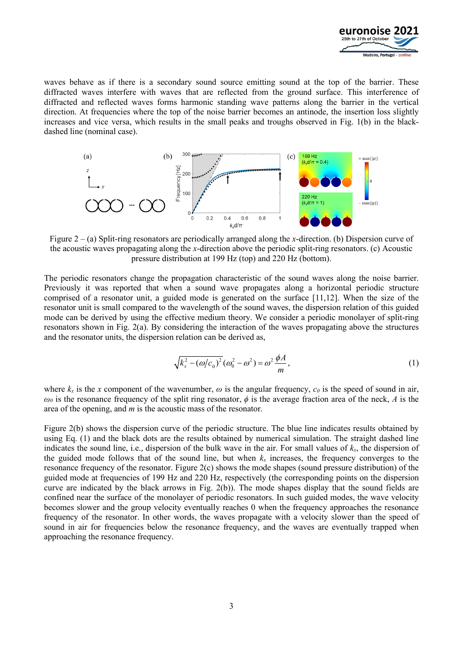

waves behave as if there is a secondary sound source emitting sound at the top of the barrier. These diffracted waves interfere with waves that are reflected from the ground surface. This interference of diffracted and reflected waves forms harmonic standing wave patterns along the barrier in the vertical direction. At frequencies where the top of the noise barrier becomes an antinode, the insertion loss slightly increases and vice versa, which results in the small peaks and troughs observed in Fig. 1(b) in the blackdashed line (nominal case).



Figure 2 – (a) Split-ring resonators are periodically arranged along the *x*-direction. (b) Dispersion curve of the acoustic waves propagating along the *x*-direction above the periodic split-ring resonators. (c) Acoustic pressure distribution at 199 Hz (top) and 220 Hz (bottom).

The periodic resonators change the propagation characteristic of the sound waves along the noise barrier. Previously it was reported that when a sound wave propagates along a horizontal periodic structure comprised of a resonator unit, a guided mode is generated on the surface [11,12]. When the size of the resonator unit is small compared to the wavelength of the sound waves, the dispersion relation of this guided mode can be derived by using the effective medium theory. We consider a periodic monolayer of split-ring resonators shown in Fig. 2(a). By considering the interaction of the waves propagating above the structures and the resonator units, the dispersion relation can be derived as,

$$
\sqrt{k_x^2 - (\omega/c_0)^2} (\omega_0^2 - \omega^2) = \omega^2 \frac{\phi A}{m},
$$
\n(1)

where  $k_x$  is the *x* component of the wavenumber,  $\omega$  is the angular frequency,  $c_0$  is the speed of sound in air,  $\omega_0$  is the resonance frequency of the split ring resonator,  $\phi$  is the average fraction area of the neck, *A* is the area of the opening, and *m* is the acoustic mass of the resonator.

Figure 2(b) shows the dispersion curve of the periodic structure. The blue line indicates results obtained by using Eq. (1) and the black dots are the results obtained by numerical simulation. The straight dashed line indicates the sound line, i.e., dispersion of the bulk wave in the air. For small values of  $k<sub>x</sub>$ , the dispersion of the guided mode follows that of the sound line, but when  $k_x$  increases, the frequency converges to the resonance frequency of the resonator. Figure 2(c) shows the mode shapes (sound pressure distribution) of the guided mode at frequencies of 199 Hz and 220 Hz, respectively (the corresponding points on the dispersion curve are indicated by the black arrows in Fig. 2(b)). The mode shapes display that the sound fields are confined near the surface of the monolayer of periodic resonators. In such guided modes, the wave velocity becomes slower and the group velocity eventually reaches 0 when the frequency approaches the resonance frequency of the resonator. In other words, the waves propagate with a velocity slower than the speed of sound in air for frequencies below the resonance frequency, and the waves are eventually trapped when approaching the resonance frequency.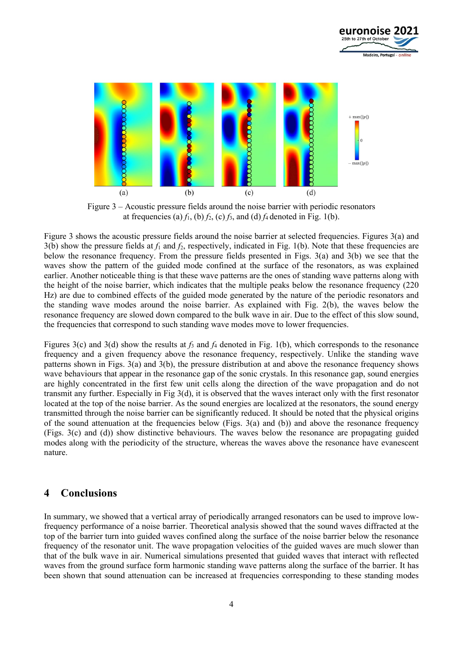



Figure 3 – Acoustic pressure fields around the noise barrier with periodic resonators at frequencies (a)  $f_1$ , (b)  $f_2$ , (c)  $f_3$ , and (d)  $f_4$  denoted in Fig. 1(b).

Figure 3 shows the acoustic pressure fields around the noise barrier at selected frequencies. Figures 3(a) and  $3(b)$  show the pressure fields at  $f_1$  and  $f_2$ , respectively, indicated in Fig. 1(b). Note that these frequencies are below the resonance frequency. From the pressure fields presented in Figs. 3(a) and 3(b) we see that the waves show the pattern of the guided mode confined at the surface of the resonators, as was explained earlier. Another noticeable thing is that these wave patterns are the ones of standing wave patterns along with the height of the noise barrier, which indicates that the multiple peaks below the resonance frequency (220 Hz) are due to combined effects of the guided mode generated by the nature of the periodic resonators and the standing wave modes around the noise barrier. As explained with Fig. 2(b), the waves below the resonance frequency are slowed down compared to the bulk wave in air. Due to the effect of this slow sound, the frequencies that correspond to such standing wave modes move to lower frequencies.

Figures 3(c) and 3(d) show the results at  $f_3$  and  $f_4$  denoted in Fig. 1(b), which corresponds to the resonance frequency and a given frequency above the resonance frequency, respectively. Unlike the standing wave patterns shown in Figs. 3(a) and 3(b), the pressure distribution at and above the resonance frequency shows wave behaviours that appear in the resonance gap of the sonic crystals. In this resonance gap, sound energies are highly concentrated in the first few unit cells along the direction of the wave propagation and do not transmit any further. Especially in Fig 3(d), it is observed that the waves interact only with the first resonator located at the top of the noise barrier. As the sound energies are localized at the resonators, the sound energy transmitted through the noise barrier can be significantly reduced. It should be noted that the physical origins of the sound attenuation at the frequencies below (Figs. 3(a) and (b)) and above the resonance frequency (Figs. 3(c) and (d)) show distinctive behaviours. The waves below the resonance are propagating guided modes along with the periodicity of the structure, whereas the waves above the resonance have evanescent nature.

#### **4 Conclusions**

In summary, we showed that a vertical array of periodically arranged resonators can be used to improve lowfrequency performance of a noise barrier. Theoretical analysis showed that the sound waves diffracted at the top of the barrier turn into guided waves confined along the surface of the noise barrier below the resonance frequency of the resonator unit. The wave propagation velocities of the guided waves are much slower than that of the bulk wave in air. Numerical simulations presented that guided waves that interact with reflected waves from the ground surface form harmonic standing wave patterns along the surface of the barrier. It has been shown that sound attenuation can be increased at frequencies corresponding to these standing modes